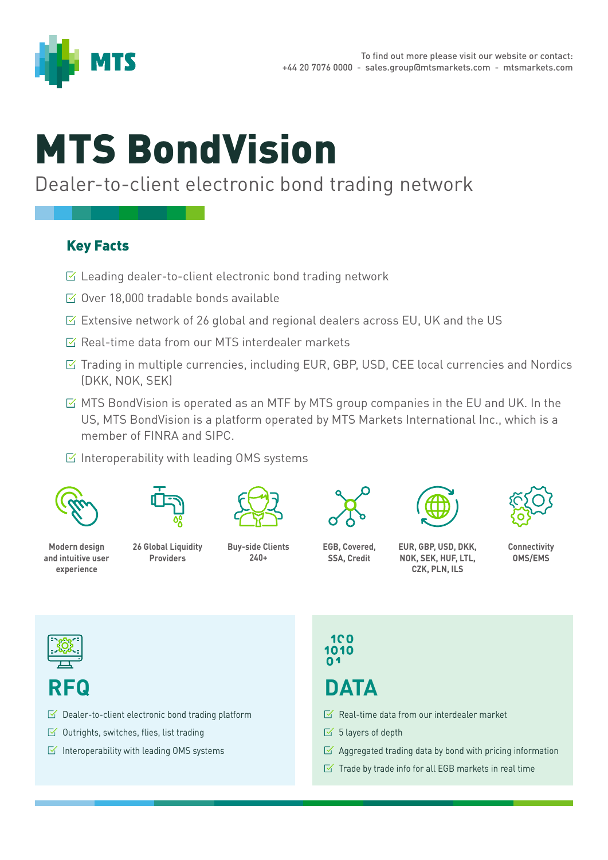

# MTS BondVision

#### Dealer-to-client electronic bond trading network

#### Key Facts

- $\triangleright$  Leading dealer-to-client electronic bond trading network
- $\boxtimes$  Over 18,000 tradable bonds available
- $\triangleright$  Extensive network of 26 global and regional dealers across EU, UK and the US
- $\sqrt{2}$  Real-time data from our MTS interdealer markets
- $\triangleright$  Trading in multiple currencies, including EUR, GBP, USD, CEE local currencies and Nordics (DKK, NOK, SEK)
- $\boxtimes$  MTS BondVision is operated as an MTF by MTS group companies in the EU and UK. In the US, MTS BondVision is a platform operated by MTS Markets International Inc., which is a member of FINRA and SIPC.
- $\boxtimes$  Interoperability with leading OMS systems





**Modern design and intuitive user experience**

**26 Global Liquidity Providers**



**240+**



**EGB, Covered, SSA, Credit**





**NOK, SEK, HUF, LTL, CZK, PLN, ILS**



**Connectivity OMS/EMS**



### **RFQ**

- $\triangleright$  Dealer-to-client electronic bond trading platform
- $\leq$  Outrights, switches, flies, list trading
- $\leq$  Interoperability with leading OMS systems

$$
100\n1010\n04
$$

## **DATA**

- $\sqrt{a}$  Real-time data from our interdealer market
- $\leq$  5 layers of depth
- $\boxtimes$  Aggregated trading data by bond with pricing information
- $\leq$  Trade by trade info for all EGB markets in real time